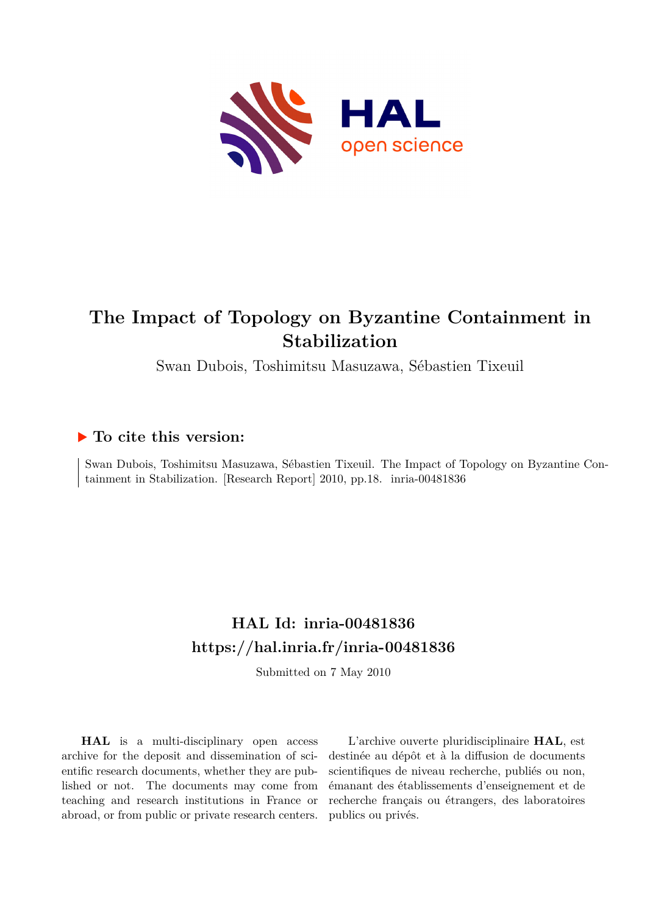

# **The Impact of Topology on Byzantine Containment in Stabilization**

Swan Dubois, Toshimitsu Masuzawa, Sébastien Tixeuil

## **To cite this version:**

Swan Dubois, Toshimitsu Masuzawa, Sébastien Tixeuil. The Impact of Topology on Byzantine Containment in Stabilization. [Research Report] 2010, pp.18. inria-00481836

## **HAL Id: inria-00481836 <https://hal.inria.fr/inria-00481836>**

Submitted on 7 May 2010

**HAL** is a multi-disciplinary open access archive for the deposit and dissemination of scientific research documents, whether they are published or not. The documents may come from teaching and research institutions in France or abroad, or from public or private research centers.

L'archive ouverte pluridisciplinaire **HAL**, est destinée au dépôt et à la diffusion de documents scientifiques de niveau recherche, publiés ou non, émanant des établissements d'enseignement et de recherche français ou étrangers, des laboratoires publics ou privés.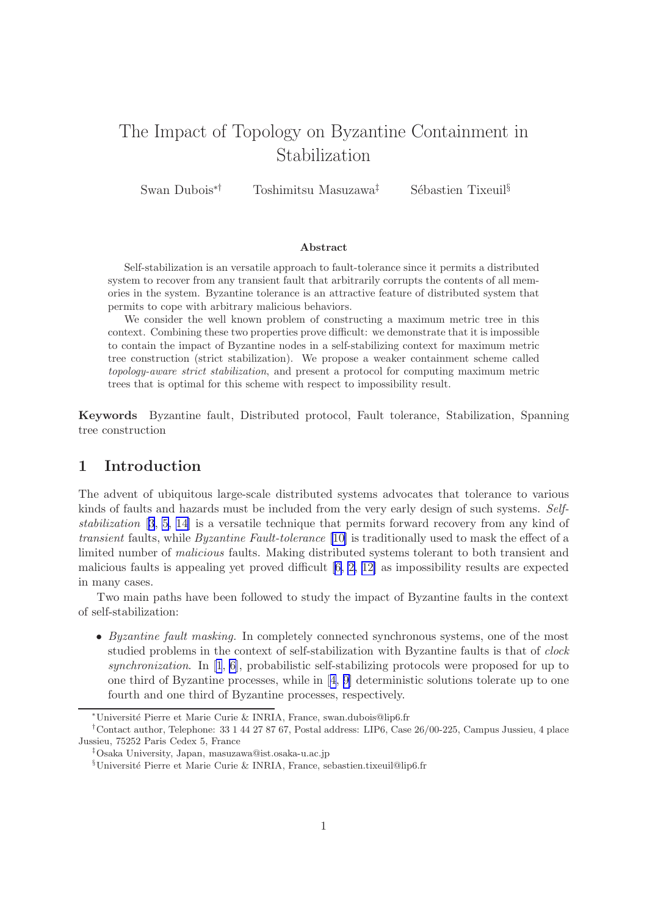## The Impact of Topology on Byzantine Containment in Stabilization

Swan Dubois<sup>∗†</sup> Toshimitsu Masuzawa<sup>‡</sup> Sébastien Tixeuil<sup>§</sup>

#### Abstract

Self-stabilization is an versatile approach to fault-tolerance since it permits a distributed system to recover from any transient fault that arbitrarily corrupts the contents of all memories in the system. Byzantine tolerance is an attractive feature of distributed system that permits to cope with arbitrary malicious behaviors.

We consider the well known problem of constructing a maximum metric tree in this context. Combining these two properties prove difficult: we demonstrate that it is impossible to contain the impact of Byzantine nodes in a self-stabilizing context for maximum metric tree construction (strict stabilization). We propose a weaker containment scheme called *topology-aware strict stabilization*, and present a protocol for computing maximum metric trees that is optimal for this scheme with respect to impossibility result.

Keywords Byzantine fault, Distributed protocol, Fault tolerance, Stabilization, Spanning tree construction

### 1 Introduction

The advent of ubiquitous large-scale distributed systems advocates that tolerance to various kinds of faults and hazards must be included from the very early design of such systems. *Selfstabilization* [[3](#page-17-0), [5,](#page-17-0) [14\]](#page-18-0) is a versatile technique that permits forward recovery from any kind of *transient* faults, while *Byzantine Fault-tolerance* [\[10\]](#page-18-0) is traditionally used to mask the effect of a limited number of *malicious* faults. Making distributed systems tolerant to both transient and malicious faults is appealing yet proved difficult [\[6, 2,](#page-17-0) [12\]](#page-18-0) as impossibility results are expected in many cases.

Two main paths have been followed to study the impact of Byzantine faults in the context of self-stabilization:

• *Byzantine fault masking.* In completely connected synchronous systems, one of the most studied problems in the context of self-stabilization with Byzantine faults is that of *clock synchronization*. In [\[1](#page-17-0), [6\]](#page-17-0), probabilistic self-stabilizing protocols were proposed for up to onethird of Byzantine processes, while in  $[4, 9]$  $[4, 9]$  $[4, 9]$  $[4, 9]$  deterministic solutions tolerate up to one fourth and one third of Byzantine processes, respectively.

<sup>∗</sup>Universit´e Pierre et Marie Curie & INRIA, France, swan.dubois@lip6.fr

<sup>†</sup>Contact author, Telephone: 33 1 44 27 87 67, Postal address: LIP6, Case 26/00-225, Campus Jussieu, 4 place Jussieu, 75252 Paris Cedex 5, France

<sup>‡</sup>Osaka University, Japan, masuzawa@ist.osaka-u.ac.jp

 $§$ Université Pierre et Marie Curie & INRIA, France, sebastien.tixeuil@lip6.fr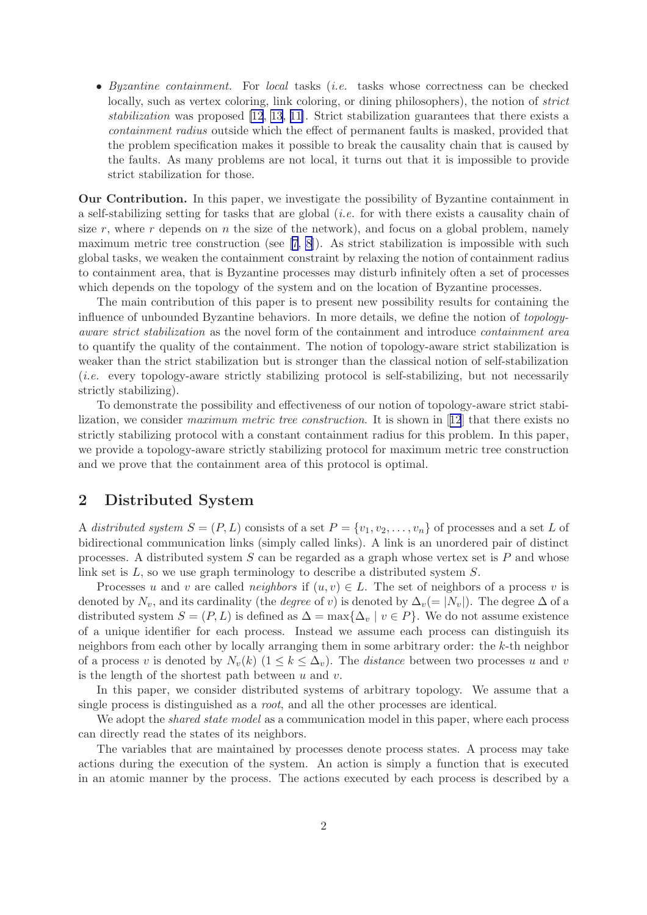• *Byzantine containment.* For *local* tasks (*i.e.* tasks whose correctness can be checked locally, such as vertex coloring, link coloring, or dining philosophers), the notion of *strict stabilization* was proposed [\[12](#page-18-0), [13](#page-18-0), [11\]](#page-18-0). Strict stabilization guarantees that there exists a *containment radius* outside which the effect of permanent faults is masked, provided that the problem specification makes it possible to break the causality chain that is caused by the faults. As many problems are not local, it turns out that it is impossible to provide strict stabilization for those.

Our Contribution. In this paper, we investigate the possibility of Byzantine containment in a self-stabilizing setting for tasks that are global (*i.e.* for with there exists a causality chain of size  $r$ , where  $r$  depends on  $n$  the size of the network), and focus on a global problem, namely maximummetric tree construction (see  $[7, 8]$  $[7, 8]$  $[7, 8]$  $[7, 8]$ ). As strict stabilization is impossible with such global tasks, we weaken the containment constraint by relaxing the notion of containment radius to containment area, that is Byzantine processes may disturb infinitely often a set of processes which depends on the topology of the system and on the location of Byzantine processes.

The main contribution of this paper is to present new possibility results for containing the influence of unbounded Byzantine behaviors. In more details, we define the notion of *topologyaware strict stabilization* as the novel form of the containment and introduce *containment area* to quantify the quality of the containment. The notion of topology-aware strict stabilization is weaker than the strict stabilization but is stronger than the classical notion of self-stabilization (*i.e.* every topology-aware strictly stabilizing protocol is self-stabilizing, but not necessarily strictly stabilizing).

To demonstrate the possibility and effectiveness of our notion of topology-aware strict stabilization, we consider *maximum metric tree construction*. It is shown in[[12](#page-18-0)] that there exists no strictly stabilizing protocol with a constant containment radius for this problem. In this paper, we provide a topology-aware strictly stabilizing protocol for maximum metric tree construction and we prove that the containment area of this protocol is optimal.

## 2 Distributed System

A *distributed system*  $S = (P, L)$  consists of a set  $P = \{v_1, v_2, \ldots, v_n\}$  of processes and a set L of bidirectional communication links (simply called links). A link is an unordered pair of distinct processes. A distributed system  $S$  can be regarded as a graph whose vertex set is  $P$  and whose link set is L, so we use graph terminology to describe a distributed system S.

Processes u and v are called *neighbors* if  $(u, v) \in L$ . The set of neighbors of a process v is denoted by  $N_v$ , and its cardinality (the *degree* of v) is denoted by  $\Delta_v(= |N_v|)$ . The degree  $\Delta$  of a distributed system  $S = (P, L)$  is defined as  $\Delta = \max{\{\Delta_v \mid v \in P\}}$ . We do not assume existence of a unique identifier for each process. Instead we assume each process can distinguish its neighbors from each other by locally arranging them in some arbitrary order: the k-th neighbor of a process v is denoted by  $N_v(k)$   $(1 \leq k \leq \Delta_v)$ . The *distance* between two processes u and v is the length of the shortest path between  $u$  and  $v$ .

In this paper, we consider distributed systems of arbitrary topology. We assume that a single process is distinguished as a *root*, and all the other processes are identical.

We adopt the *shared state model* as a communication model in this paper, where each process can directly read the states of its neighbors.

The variables that are maintained by processes denote process states. A process may take actions during the execution of the system. An action is simply a function that is executed in an atomic manner by the process. The actions executed by each process is described by a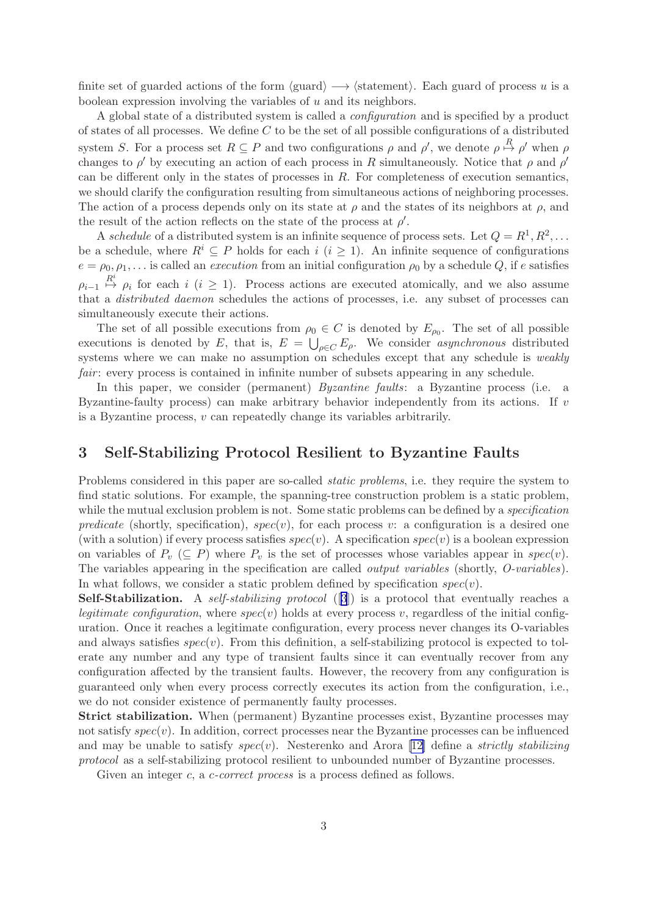<span id="page-3-0"></span>finite set of guarded actions of the form  $\langle \text{guard} \rangle \longrightarrow \langle \text{statement} \rangle$ . Each guard of process u is a boolean expression involving the variables of  $u$  and its neighbors.

A global state of a distributed system is called a *configuration* and is specified by a product of states of all processes. We define  $C$  to be the set of all possible configurations of a distributed system S. For a process set  $R \subseteq P$  and two configurations  $\rho$  and  $\rho'$ , we denote  $\rho \stackrel{R}{\mapsto} \rho'$  when  $\rho$ changes to  $\rho'$  by executing an action of each process in R simultaneously. Notice that  $\rho$  and  $\rho'$ can be different only in the states of processes in  $R$ . For completeness of execution semantics, we should clarify the configuration resulting from simultaneous actions of neighboring processes. The action of a process depends only on its state at  $\rho$  and the states of its neighbors at  $\rho$ , and the result of the action reflects on the state of the process at  $\rho'$ .

A *schedule* of a distributed system is an infinite sequence of process sets. Let  $Q = R^1, R^2, \ldots$ be a schedule, where  $R^i \subseteq P$  holds for each i  $(i \geq 1)$ . An infinite sequence of configurations  $e = \rho_0, \rho_1, \ldots$  is called an *execution* from an initial configuration  $\rho_0$  by a schedule Q, if e satisfies  $\rho_{i-1} \stackrel{R^i}{\mapsto} \rho_i$  for each  $i \ (i \geq 1)$ . Process actions are executed atomically, and we also assume that a *distributed daemon* schedules the actions of processes, i.e. any subset of processes can simultaneously execute their actions.

The set of all possible executions from  $\rho_0 \in C$  is denoted by  $E_{\rho_0}$ . The set of all possible executions is denoted by E, that is,  $E = \bigcup_{\rho \in C} E_{\rho}$ . We consider *asynchronous* distributed systems where we can make no assumption on schedules except that any schedule is *weakly fair*: every process is contained in infinite number of subsets appearing in any schedule.

In this paper, we consider (permanent) *Byzantine faults*: a Byzantine process (i.e. a Byzantine-faulty process) can make arbitrary behavior independently from its actions. If  $\upsilon$ is a Byzantine process,  $v$  can repeatedly change its variables arbitrarily.

## 3 Self-Stabilizing Protocol Resilient to Byzantine Faults

Problems considered in this paper are so-called *static problems*, i.e. they require the system to find static solutions. For example, the spanning-tree construction problem is a static problem, while the mutual exclusion problem is not. Some static problems can be defined by a *specification predicate* (shortly, specification),  $spec(v)$ , for each process v: a configuration is a desired one (with a solution) if every process satisfies  $spec(v)$ . A specification  $spec(v)$  is a boolean expression on variables of  $P_v$  ( $\subseteq P$ ) where  $P_v$  is the set of processes whose variables appear in spec(v). The variables appearing in the specification are called *output variables* (shortly, *O-variables*). In what follows, we consider a static problem defined by specification  $spec(v)$ .

Self-Stabilization. A *self-stabilizing protocol* ([[3](#page-17-0)]) is a protocol that eventually reaches a *legitimate configuration*, where  $spec(v)$  holds at every process v, regardless of the initial configuration. Once it reaches a legitimate configuration, every process never changes its O-variables and always satisfies  $spec(v)$ . From this definition, a self-stabilizing protocol is expected to tolerate any number and any type of transient faults since it can eventually recover from any configuration affected by the transient faults. However, the recovery from any configuration is guaranteed only when every process correctly executes its action from the configuration, i.e., we do not consider existence of permanently faulty processes.

Strict stabilization. When (permanent) Byzantine processes exist, Byzantine processes may not satisfy  $spec(v)$ . In addition, correct processes near the Byzantine processes can be influenced and may be unable to satisfy spec(v). Nesterenko and Arora [\[12](#page-18-0)] define a *strictly stabilizing protocol* as a self-stabilizing protocol resilient to unbounded number of Byzantine processes.

Given an integer c, a c-correct process is a process defined as follows.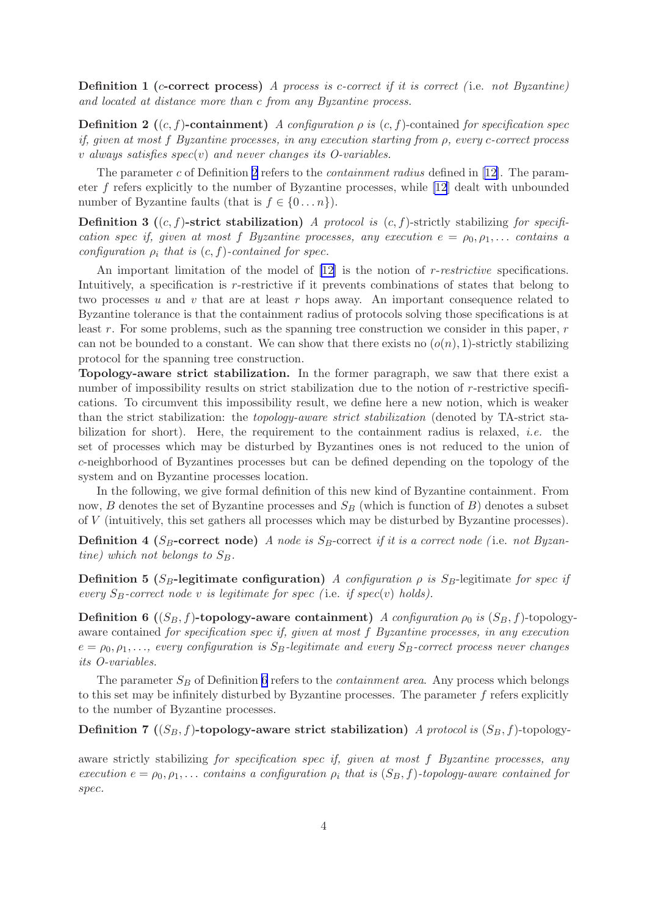Definition 1 (c-correct process) *A process is* c*-correct if it is correct (* i.e. *not Byzantine) and located at distance more than* c *from any Byzantine process.*

**Definition 2** ((c, f)-containment) *A configuration*  $\rho$  *is* (c, f)-contained *for specification spec if, given at most* f *Byzantine processes, in any execution starting from* ρ*, every* c*-correct process* v *always satisfies* spec(v) *and never changes its O-variables.*

The parameter c of Definition 2 refers to the *containment radius* defined in[[12\]](#page-18-0). The parameter f refers explicitly to the number of Byzantine processes, while [\[12](#page-18-0)] dealt with unbounded number of Byzantine faults (that is  $f \in \{0 \dots n\}$ ).

Definition 3 ((c, f)-strict stabilization) *A protocol is* (c, f)-strictly stabilizing *for specification* spec *if, given at most* f *Byzantine* processes, any execution  $e = \rho_0, \rho_1, \ldots$  contains a *configuration*  $\rho_i$  *that is*  $(c, f)$ *-contained for spec.* 

An important limitation of the model of [\[12\]](#page-18-0) is the notion of r-*restrictive* specifications. Intuitively, a specification is r-restrictive if it prevents combinations of states that belong to two processes u and v that are at least r hops away. An important consequence related to Byzantine tolerance is that the containment radius of protocols solving those specifications is at least  $r$ . For some problems, such as the spanning tree construction we consider in this paper,  $r$ can not be bounded to a constant. We can show that there exists no  $(o(n), 1)$ -strictly stabilizing protocol for the spanning tree construction.

Topology-aware strict stabilization. In the former paragraph, we saw that there exist a number of impossibility results on strict stabilization due to the notion of r-restrictive specifications. To circumvent this impossibility result, we define here a new notion, which is weaker than the strict stabilization: the *topology-aware strict stabilization* (denoted by TA-strict stabilization for short). Here, the requirement to the containment radius is relaxed, *i.e.* the set of processes which may be disturbed by Byzantines ones is not reduced to the union of c-neighborhood of Byzantines processes but can be defined depending on the topology of the system and on Byzantine processes location.

In the following, we give formal definition of this new kind of Byzantine containment. From now,  $B$  denotes the set of Byzantine processes and  $S_B$  (which is function of  $B$ ) denotes a subset of V (intuitively, this set gathers all processes which may be disturbed by Byzantine processes).

**Definition 4** ( $S_B$ -correct node) *A node is*  $S_B$ -correct *if it is a correct node* (i.e. *not Byzantine)* which not belongs to  $S_B$ .

**Definition 5** ( $S_B$ -legitimate configuration) *A configuration*  $\rho$  *is*  $S_B$ -legitimate *for spec if every*  $S_B$ -correct node v *is legitimate for spec* (*i.e. if spec(v) holds).* 

**Definition 6** (( $S_B$ , f)-topology-aware containment) *A configuration*  $\rho_0$  *is* ( $S_B$ , f)-topologyaware contained *for specification* spec *if, given at most* f *Byzantine processes, in any execution*  $e = \rho_0, \rho_1, \ldots$ , every configuration is  $S_B$ -legitimate and every  $S_B$ -correct process never changes *its O-variables.*

The parameter  $S_B$  of Definition 6 refers to the *containment area*. Any process which belongs to this set may be infinitely disturbed by Byzantine processes. The parameter  $f$  refers explicitly to the number of Byzantine processes.

**Definition 7** ( $(S_B, f)$ -topology-aware strict stabilization) *A protocol is*  $(S_B, f)$ -topology-

aware strictly stabilizing *for specification* spec *if, given at most* f *Byzantine processes, any execution*  $e = \rho_0, \rho_1, \ldots$  *contains a configuration*  $\rho_i$  *that is*  $(S_B, f)$ *-topology-aware contained for* spec*.*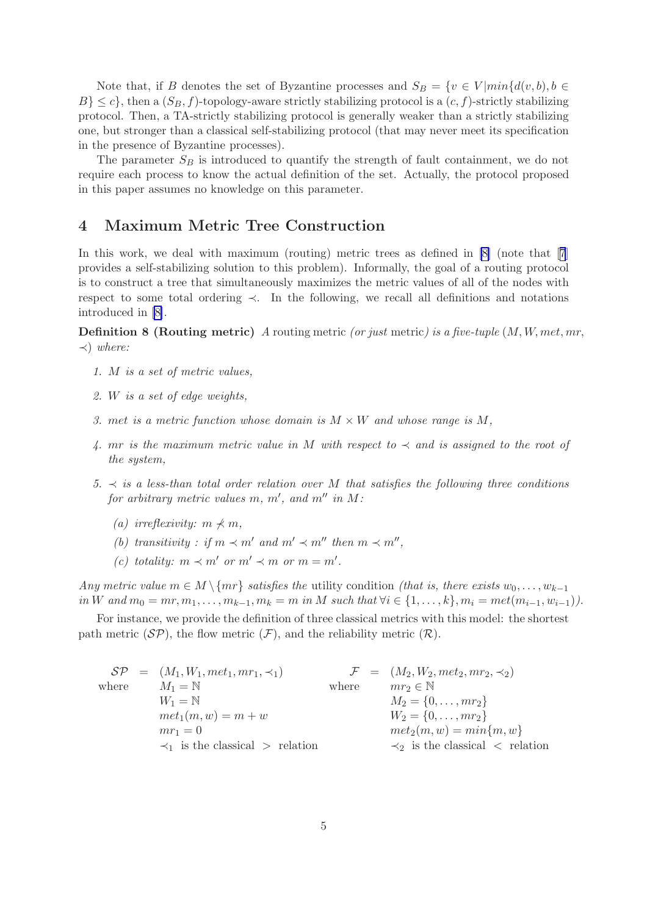Note that, if B denotes the set of Byzantine processes and  $S_B = \{v \in V | min\{d(v, b), b \in$  $B$ }  $\leq c$ }, then a  $(S_B, f)$ -topology-aware strictly stabilizing protocol is a  $(c, f)$ -strictly stabilizing protocol. Then, a TA-strictly stabilizing protocol is generally weaker than a strictly stabilizing one, but stronger than a classical self-stabilizing protocol (that may never meet its specification in the presence of Byzantine processes).

The parameter  $S_B$  is introduced to quantify the strength of fault containment, we do not require each process to know the actual definition of the set. Actually, the protocol proposed in this paper assumes no knowledge on this parameter.

## 4 Maximum Metric Tree Construction

Inthis work, we deal with maximum (routing) metric trees as defined in  $[8]$  (note that  $[7]$  $[7]$  $[7]$ provides a self-stabilizing solution to this problem). Informally, the goal of a routing protocol is to construct a tree that simultaneously maximizes the metric values of all of the nodes with respect to some total ordering ≺. In the following, we recall all definitions and notations introduced in [\[8\]](#page-18-0).

Definition 8 (Routing metric) *A* routing metric *(or just* metric*) is a five-tuple* (M, W, met, mr, ≺) *where:*

- *1.* M *is a set of metric values,*
- *2.* W *is a set of edge weights,*
- *3. met is a metric function whose domain is*  $M \times W$  *and whose range is*  $M$ ,
- *4.* mr *is the maximum metric value in* M *with respect to* ≺ *and is assigned to the root of the system,*
- *5.* ≺ *is a less-than total order relation over* M *that satisfies the following three conditions for arbitrary metric values*  $m, m'$ , and  $m''$  *in*  $M$ :
	- *(a)* irreflexivity:  $m \nless m$ ,
	- *(b)* transitivity : if  $m \prec m'$  and  $m' \prec m''$  then  $m \prec m''$ ,
	- (c) totality:  $m \prec m'$  or  $m' \prec m$  or  $m = m'$ .

*Any metric value*  $m \in M \setminus \{mr\}$  *satisfies the* utility condition *(that is, there exists*  $w_0, \ldots, w_{k-1}$ ) *in* W and  $m_0 = mr, m_1, \ldots, m_{k-1}, m_k = m$  *in* M *such that*  $\forall i \in \{1, \ldots, k\}, m_i = met(m_{i-1}, w_{i-1})$ .

For instance, we provide the definition of three classical metrics with this model: the shortest path metric  $(S\mathcal{P})$ , the flow metric  $(\mathcal{F})$ , and the reliability metric  $(\mathcal{R})$ .

|       | $\mathcal{S}P = (M_1, W_1, met_1, mr_1, \prec_1)$ |       | $\mathcal{F} = (M_2, W_2, met_2, mr_2, \prec_2)$ |
|-------|---------------------------------------------------|-------|--------------------------------------------------|
| where | $M_1 = N$                                         | where | $mr_2 \in \mathbb{N}$                            |
|       | $W_1 = N$                                         |       | $M_2 = \{0, \ldots, mr_2\}$                      |
|       | $met_1(m, w) = m + w$                             |       | $W_2 = \{0, \ldots, mr_2\}$                      |
|       | $mr_1=0$                                          |       | $met_2(m, w) = min\{m, w\}$                      |
|       | $\prec_1$ is the classical $>$ relation           |       | $\prec_2$ is the classical $\prec$ relation      |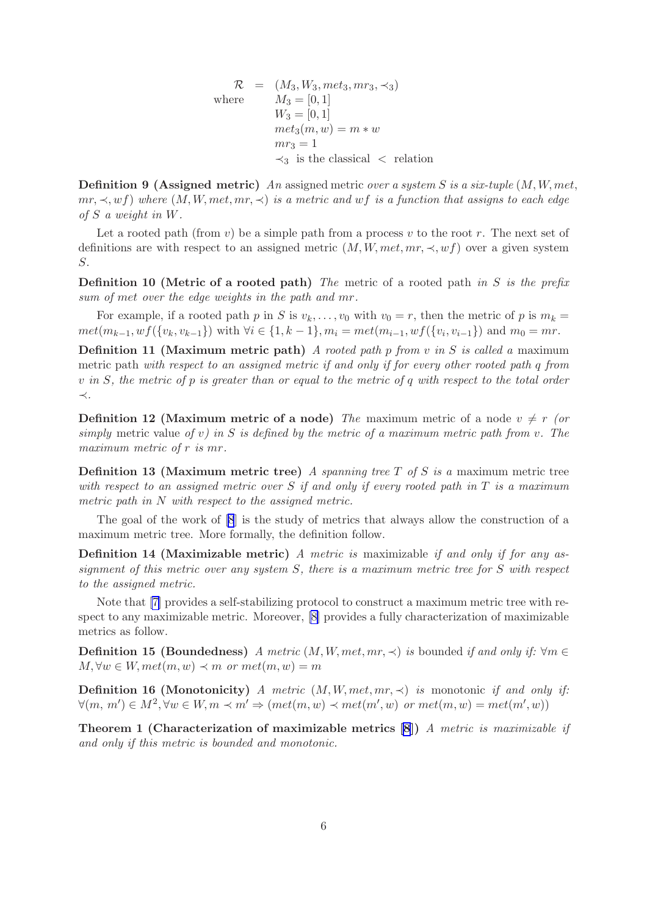$$
\mathcal{R} = (M_3, W_3, met_3, mr_3, \prec_3)
$$
  
where 
$$
M_3 = [0, 1]
$$

$$
W_3 = [0, 1]
$$

$$
met_3(m, w) = m * w
$$

$$
mr_3 = 1
$$

$$
\prec_3
$$
 is the classical 
$$
<
$$
 relation

Definition 9 (Assigned metric) *An* assigned metric *over a system* S *is a six-tuple* (M, W, met,  $mr, \prec, wf$ ) where  $(M, W, met, mr, \prec)$  *is a metric and wf is a function that assigns to each edge of* S *a weight in* W*.*

Let a rooted path (from  $v$ ) be a simple path from a process v to the root r. The next set of definitions are with respect to an assigned metric  $(M, W, met, mr, \prec, wf)$  over a given system S.

Definition 10 (Metric of a rooted path) *The* metric of a rooted path *in* S *is the prefix sum of* met *over the edge weights in the path and* mr*.*

For example, if a rooted path p in S is  $v_k, \ldots, v_0$  with  $v_0 = r$ , then the metric of p is  $m_k =$  $met(m_{k-1}, wf({v_k,v_{k-1}}))$  with  $\forall i \in \{1,k-1\}, m_i = met(m_{i-1},wf({v_i,v_{i-1}}))$  and  $m_0 = mr$ .

Definition 11 (Maximum metric path) *A rooted path* p *from* v *in* S *is called a* maximum metric path *with respect to an assigned metric if and only if for every other rooted path* q *from* v *in* S*, the metric of* p *is greater than or equal to the metric of* q *with respect to the total order* ≺*.*

**Definition 12 (Maximum metric of a node)** *The* maximum metric of a node  $v \neq r$  *(or simply* metric value *of* v*) in* S *is defined by the metric of a maximum metric path from* v*. The maximum metric of* r *is* mr*.*

Definition 13 (Maximum metric tree) *A spanning tree* T *of* S *is a* maximum metric tree *with respect to an assigned metric over* S *if and only if every rooted path in* T *is a maximum metric path in* N *with respect to the assigned metric.*

The goal of the work of [\[8](#page-18-0)] is the study of metrics that always allow the construction of a maximum metric tree. More formally, the definition follow.

Definition 14 (Maximizable metric) *A metric is* maximizable *if and only if for any assignment of this metric over any system* S*, there is a maximum metric tree for* S *with respect to the assigned metric.*

Note that [\[7\]](#page-17-0) provides a self-stabilizing protocol to construct a maximum metric tree with respect to any maximizable metric. Moreover, [\[8\]](#page-18-0) provides a fully characterization of maximizable metrics as follow.

**Definition 15 (Boundedness)** *A metric*  $(M, W, met, mr, \prec)$  *is* bounded *if and only if:*  $\forall m \in$  $M, \forall w \in W, met(m, w) \prec m \text{ or } met(m, w) = m$ 

**Definition 16 (Monotonicity)** *A metric*  $(M, W, met, mr, \prec)$  *is* monotonic *if and only if:*  $\forall (m, m') \in M^2, \forall w \in W, m \prec m' \Rightarrow (met(m, w) \prec met(m', w) \text{ or } met(m, w) = met(m', w))$ 

Theorem 1 (Characterization of maximizable metrics [\[8](#page-18-0)]) *A metric is maximizable if and only if this metric is bounded and monotonic.*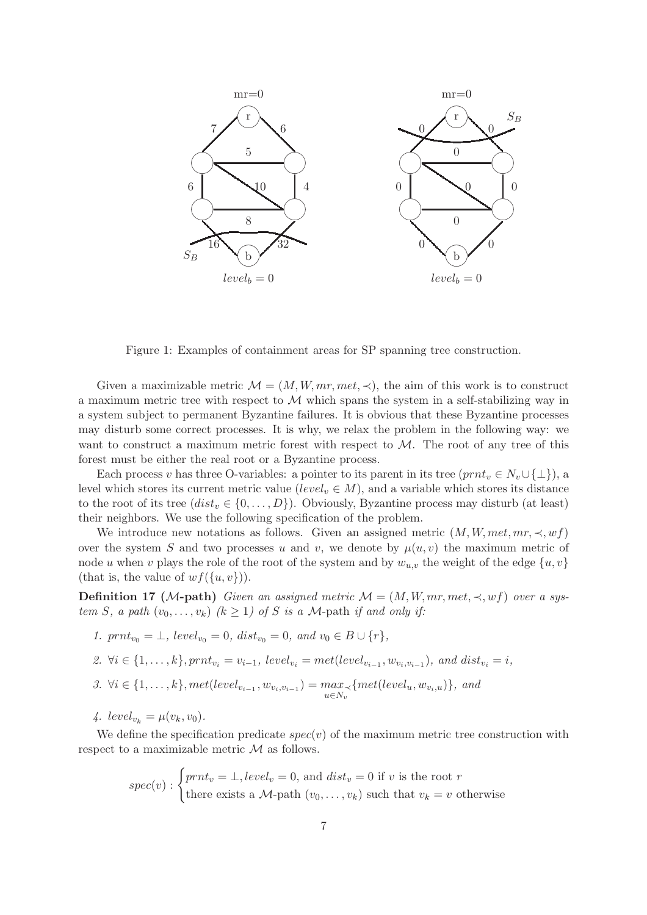<span id="page-7-0"></span>

Figure 1: Examples of containment areas for SP spanning tree construction.

Given a maximizable metric  $\mathcal{M} = (M, W, mr, met, \prec)$ , the aim of this work is to construct a maximum metric tree with respect to  $\mathcal M$  which spans the system in a self-stabilizing way in a system subject to permanent Byzantine failures. It is obvious that these Byzantine processes may disturb some correct processes. It is why, we relax the problem in the following way: we want to construct a maximum metric forest with respect to  $\mathcal{M}$ . The root of any tree of this forest must be either the real root or a Byzantine process.

Each process v has three O-variables: a pointer to its parent in its tree  $(prnt_v \in N_v \cup \{\perp\})$ , a level which stores its current metric value (level<sub>v</sub>  $\in M$ ), and a variable which stores its distance to the root of its tree  $(distr_v \in \{0, \ldots, D\})$ . Obviously, Byzantine process may disturb (at least) their neighbors. We use the following specification of the problem.

We introduce new notations as follows. Given an assigned metric  $(M, W, met, mr, \prec, wf)$ over the system S and two processes u and v, we denote by  $\mu(u, v)$  the maximum metric of node u when v plays the role of the root of the system and by  $w_{u,v}$  the weight of the edge  $\{u, v\}$ (that is, the value of  $wf({u, v})$ ).

**Definition 17** (*M*-path) *Given an assigned metric*  $M = (M, W, mr, met, \prec, wf)$  *over a system S*, *a path*  $(v_0, \ldots, v_k)$   $(k \ge 1)$  *of S is a M*-path *if and only if:* 

*1.*  $prnt_{v_0} = \bot$ *, level*<sub> $v_0$ </sub> = 0*, dist<sub>v<sub>0</sub></sub>* = 0*, and*  $v_0 \in B \cup \{r\}$ *,* 

2. 
$$
\forall i \in \{1, ..., k\}, prnt_{v_i} = v_{i-1}, level_{v_i} = met(level_{v_{i-1}}, w_{v_i, v_{i-1}}), and dist_{v_i} = i,
$$

- *3.* ∀*i* ∈ {1, ..., *k*},  $met(level_{v_{i-1}}, w_{v_i, v_{i-1}}) = max$  $\max_{u \in N_v} \{ met(level_u, w_{v_i, u})\}, \ and$
- *4.*  $level_{v_k} = \mu(v_k, v_0)$ .

We define the specification predicate  $spec(v)$  of the maximum metric tree construction with respect to a maximizable metric  $\mathcal M$  as follows.

$$
spec(v) : \begin{cases} prnt_v = \bot, level_v = 0, \text{ and } dist_v = 0 \text{ if } v \text{ is the root } r\\ \text{there exists a } \mathcal{M}\text{-path } (v_0, \dots, v_k) \text{ such that } v_k = v \text{ otherwise } \end{cases}
$$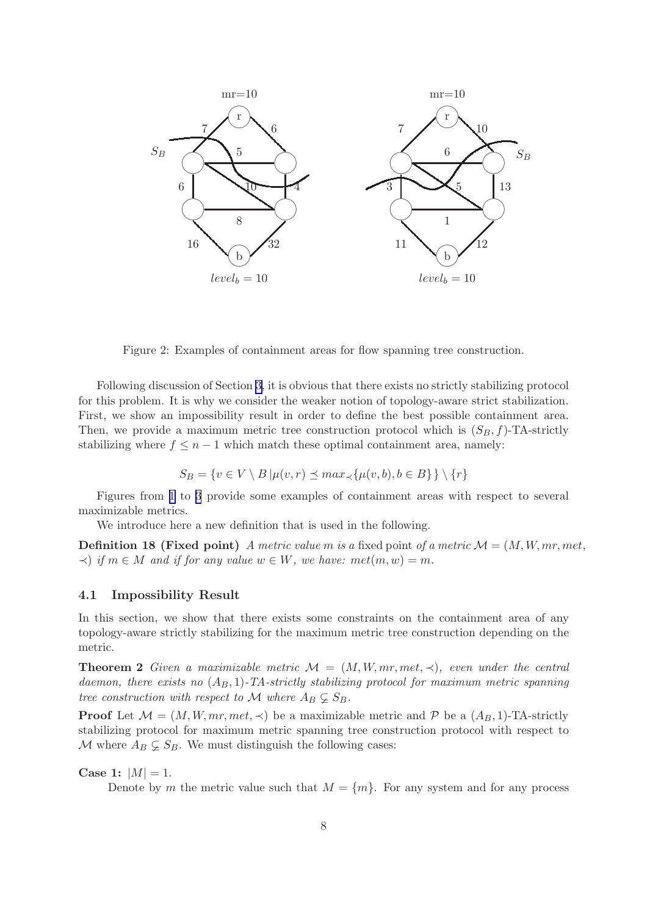<span id="page-8-0"></span>

Figure 2: Examples of containment areas for flow spanning tree construction.

Following discussion of Section [3,](#page-3-0) it is obvious that there exists no strictly stabilizing protocol for this problem. It is why we consider the weaker notion of topology-aware strict stabilization. First, we show an impossibility result in order to define the best possible containment area. Then, we provide a maximum metric tree construction protocol which is  $(S_B, f)$ -TA-strictly stabilizing where  $f \leq n-1$  which match these optimal containment area, namely:

$$
S_B = \{ v \in V \setminus B \mid \mu(v, r) \le \max_{\prec} \{ \mu(v, b), b \in B \} \} \setminus \{r\}
$$

Figures from [1](#page-7-0) to [3](#page-9-0) provide some examples of containment areas with respect to several maximizable metrics.

We introduce here a new definition that is used in the following.

**Definition 18 (Fixed point)** *A metric value m is a* fixed point *of a metric*  $\mathcal{M} = (M, W, mr, met,$  $\prec$ ) *if*  $m \in M$  *and if for any value*  $w \in W$ *, we have:*  $met(m, w) = m$ *.* 

#### 4.1 Impossibility Result

In this section, we show that there exists some constraints on the containment area of any topology-aware strictly stabilizing for the maximum metric tree construction depending on the metric.

**Theorem 2** Given a maximizable metric  $\mathcal{M} = (M, W, mr, met, \prec)$ , even under the central *daemon, there exists no*  $(A_B, 1)$ -TA-strictly stabilizing protocol for maximum metric spanning *tree construction with respect to* M *where*  $A_B \subsetneq S_B$ .

**Proof** Let  $\mathcal{M} = (M, W, mr, met, \prec)$  be a maximizable metric and P be a  $(A_B, 1)$ -TA-strictly stabilizing protocol for maximum metric spanning tree construction protocol with respect to M where  $A_B \subsetneq S_B$ . We must distinguish the following cases:

#### Case 1:  $|M| = 1$ .

Denote by m the metric value such that  $M = \{m\}$ . For any system and for any process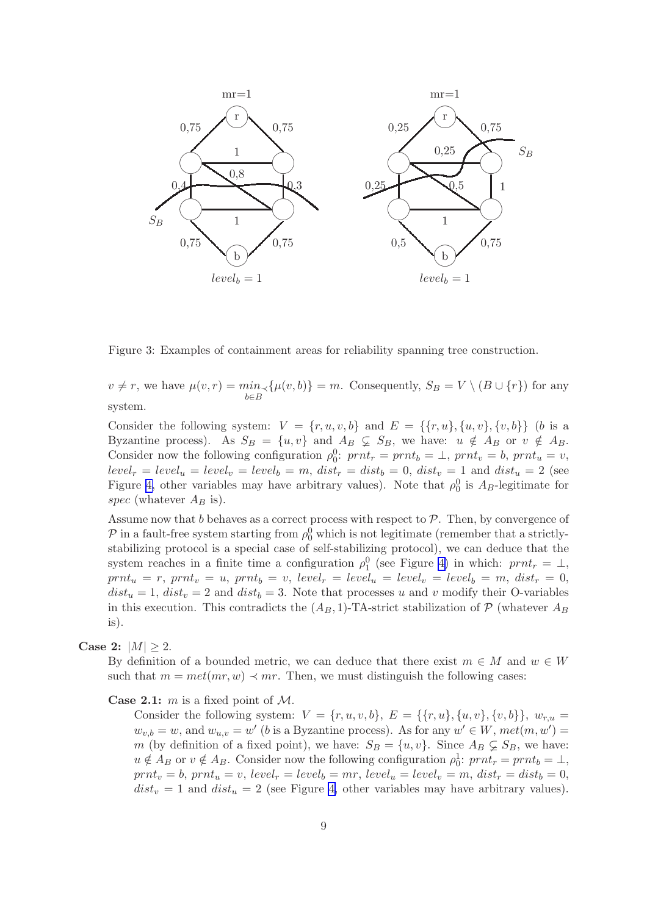<span id="page-9-0"></span>

Figure 3: Examples of containment areas for reliability spanning tree construction.

 $v \neq r$ , we have  $\mu(v,r) = \min_{b \in B} \{ \mu(v,b) \} = m$ . Consequently,  $S_B = V \setminus (B \cup \{r\})$  for any system.

Consider the following system:  $V = \{r, u, v, b\}$  and  $E = \{\{r, u\}, \{u, v\}, \{v, b\}\}\$  (b is a Byzantine process). As  $S_B = \{u, v\}$  and  $A_B \subsetneq S_B$ , we have:  $u \notin A_B$  or  $v \notin A_B$ . Consider now the following configuration  $\rho_0^0$ :  $prnt_r = prnt_b = \perp$ ,  $prnt_v = b$ ,  $prnt_u = v$ ,  $level_r = level_u = level_v = level_b = m, dist_r = dist_b = 0, dist_v = 1$  and  $dist_u = 2$  (see Figure [4,](#page-10-0) other variables may have arbitrary values). Note that  $\rho_0^0$  is  $A_B$ -legitimate for spec (whatever  $A_B$  is).

Assume now that b behaves as a correct process with respect to  $P$ . Then, by convergence of  $P$  in a fault-free system starting from  $\rho_0^0$  which is not legitimate (remember that a strictlystabilizing protocol is a special case of self-stabilizing protocol), we can deduce that the system reaches in a finite time a configuration  $\rho_1^0$  (see Figure [4\)](#page-10-0) in which:  $prnt_r = \perp$ ,  $prnt_u = r$ ,  $prnt_v = u$ ,  $prnt_b = v$ ,  $level_r = level_u = level_v = level_b = m$ ,  $dist_r = 0$ ,  $dist_u = 1$ ,  $dist_v = 2$  and  $dist_b = 3$ . Note that processes u and v modify their O-variables in this execution. This contradicts the  $(A_B, 1)$ -TA-strict stabilization of P (whatever  $A_B$ is).

### Case 2:  $|M| > 2$ .

By definition of a bounded metric, we can deduce that there exist  $m \in M$  and  $w \in W$ such that  $m = met(mr, w) \prec mr$ . Then, we must distinguish the following cases:

#### **Case 2.1:** m is a fixed point of  $M$ .

Consider the following system:  $V = \{r, u, v, b\}, E = \{\{r, u\}, \{u, v\}, \{v, b\}\}, w_{r, u} =$  $w_{v,b} = w$ , and  $w_{u,v} = w'$  (b is a Byzantine process). As for any  $w' \in W$ ,  $met(m, w') =$ m (by definition of a fixed point), we have:  $S_B = \{u, v\}$ . Since  $A_B \subsetneq S_B$ , we have:  $u \notin A_B$  or  $v \notin A_B$ . Consider now the following configuration  $\rho_0^1$ :  $prnt_r = prnt_b = \perp$ ,  $prnt_v = b$ ,  $prnt_u = v$ ,  $level_r = level_b = mr$ ,  $level_u = level_v = m$ ,  $dist_r = dist_b = 0$ ,  $dist_v = 1$  and  $dist_u = 2$  (see Figure [4,](#page-10-0) other variables may have arbitrary values).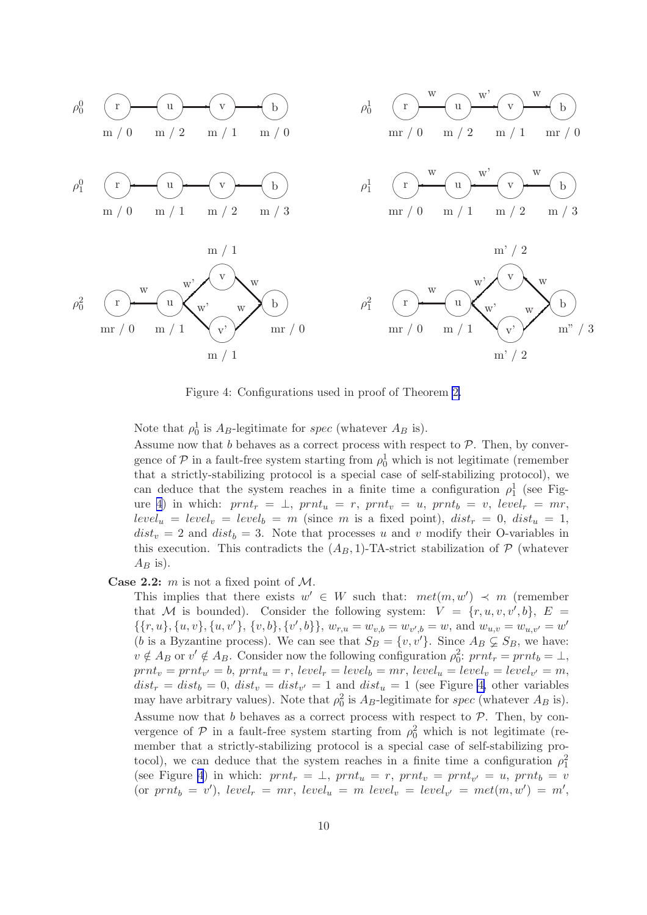<span id="page-10-0"></span>

Figure 4: Configurations used in proof of Theorem [2.](#page-8-0)

Note that  $\rho_0^1$  is  $A_B$ -legitimate for *spec* (whatever  $A_B$  is).

Assume now that  $b$  behaves as a correct process with respect to  $P$ . Then, by convergence of  $P$  in a fault-free system starting from  $\rho_0^1$  which is not legitimate (remember that a strictly-stabilizing protocol is a special case of self-stabilizing protocol), we can deduce that the system reaches in a finite time a configuration  $\rho_1^1$  (see Figure 4) in which:  $prnt_r = \perp, prnt_u = r, prnt_v = u, prnt_b = v, level_r = mr,$  $level_u = level_v = level_b = m$  (since m is a fixed point),  $dist_r = 0$ ,  $dist_u = 1$ ,  $dist_v = 2$  and  $dist_b = 3$ . Note that processes u and v modify their O-variables in this execution. This contradicts the  $(A_B, 1)$ -TA-strict stabilization of  $P$  (whatever  $A_B$  is).

**Case 2.2:**  $m$  is not a fixed point of  $M$ .

This implies that there exists  $w' \in W$  such that:  $met(m, w') \prec m$  (remember that M is bounded). Consider the following system:  $V = \{r, u, v, v', b\}, E =$  $\{\{r, u\}, \{u, v\}, \{u, v'\}, \{v, b\}, \{v', b\}\}, w_{r, u} = w_{v, b} = w_{v', b} = w$ , and  $w_{u, v} = w_{u, v'} = w'$ (b is a Byzantine process). We can see that  $S_B = \{v, v'\}$ . Since  $A_B \subsetneq S_B$ , we have:  $v \notin A_B$  or  $v' \notin A_B$ . Consider now the following configuration  $\rho_0^2$ :  $prnt_r = prnt_b = \perp$ ,  $prnt_v = prnt_{v'} = b$ ,  $prnt_u = r$ ,  $level_r = level_b = mr$ ,  $level_u = level_v = level_{v'} = m$ ,  $dist_r = dist_b = 0, dist_v = dist_{v'} = 1$  and  $dist_u = 1$  (see Figure 4, other variables may have arbitrary values). Note that  $\rho_0^2$  is  $A_B$ -legitimate for spec (whatever  $A_B$  is). Assume now that  $b$  behaves as a correct process with respect to  $P$ . Then, by convergence of  $P$  in a fault-free system starting from  $\rho_0^2$  which is not legitimate (remember that a strictly-stabilizing protocol is a special case of self-stabilizing protocol), we can deduce that the system reaches in a finite time a configuration  $\rho_1^2$ (see Figure 4) in which:  $prnt_r = \perp$ ,  $prnt_u = r$ ,  $prnt_v = prnt_{v'} = u$ ,  $prnt_b = v$ (or  $prnt_b = v'$ ),  $level_r = mr$ ,  $level_u = m$   $level_v = level_{v'} = met(m, w') = m'$ ,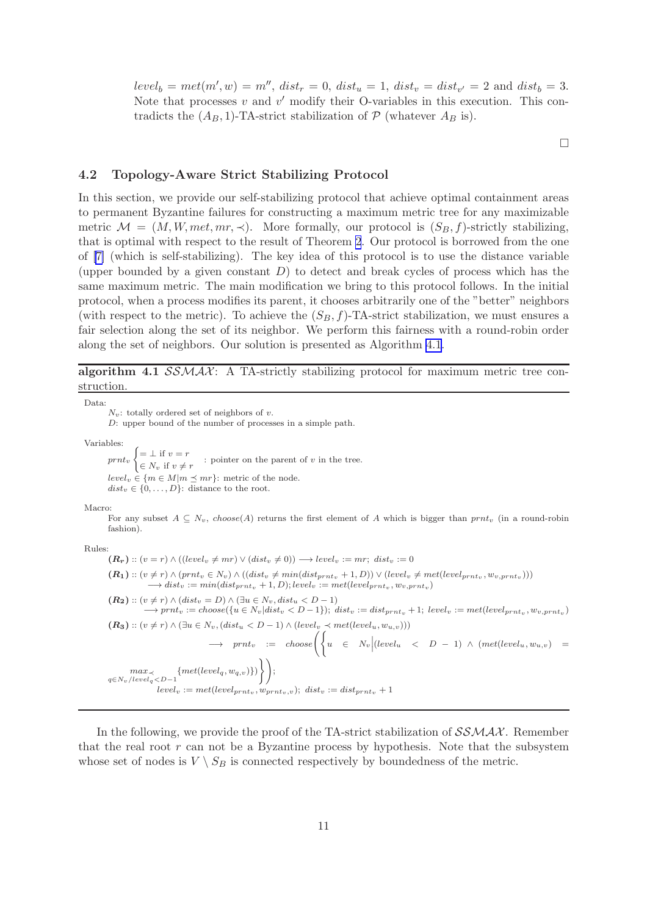<span id="page-11-0"></span> $level_b = met(m', w) = m'', dist_r = 0, dist_u = 1, dist_v = dist_{v'} = 2 \text{ and } dist_b = 3.$ Note that processes  $v$  and  $v'$  modify their O-variables in this execution. This contradicts the  $(A_B, 1)$ -TA-strict stabilization of  $P$  (whatever  $A_B$  is).

 $\Box$ 

#### 4.2 Topology-Aware Strict Stabilizing Protocol

In this section, we provide our self-stabilizing protocol that achieve optimal containment areas to permanent Byzantine failures for constructing a maximum metric tree for any maximizable metric  $\mathcal{M} = (M, W, met, mr, \prec)$ . More formally, our protocol is  $(S_B, f)$ -strictly stabilizing, that is optimal with respect to the result of Theorem [2](#page-8-0). Our protocol is borrowed from the one of [\[7\]](#page-17-0) (which is self-stabilizing). The key idea of this protocol is to use the distance variable (upper bounded by a given constant  $D$ ) to detect and break cycles of process which has the same maximum metric. The main modification we bring to this protocol follows. In the initial protocol, when a process modifies its parent, it chooses arbitrarily one of the "better" neighbors (with respect to the metric). To achieve the  $(S_B, f)$ -TA-strict stabilization, we must ensures a fair selection along the set of its neighbor. We perform this fairness with a round-robin order along the set of neighbors. Our solution is presented as Algorithm 4.1.

algorithm 4.1  $SSMAX$ : A TA-strictly stabilizing protocol for maximum metric tree construction.

Data:

 $N_v$ : totally ordered set of neighbors of v.

D: upper bound of the number of processes in a simple path.

Variables:

 $print_v \in N_v \text{ if } v \neq r$  $\int = \perp$  if  $v = r$ : pointer on the parent of  $v$  in the tree.  $level_v \in \{m \in M | m \leq mr\}$ : metric of the node.  $dist_v \in \{0, \ldots, D\}$ : distance to the root.

Macro:

For any subset  $A \subseteq N_v$ , choose(A) returns the first element of A which is bigger than prnt<sub>v</sub> (in a round-robin fashion).

Rules:

$$
(\mathbf{R}_{\mathbf{r}}) :: (v = r) \land ((level_{v} \neq mr) \lor (dist_{v} \neq 0)) \longrightarrow level_{v} := mr; dist_{v} := 0
$$
\n
$$
(\mathbf{R}_{1}) :: (v \neq r) \land (prnt_{v} \in N_{v}) \land ((dist_{v} \neq min(dist_{prnt_{v}} + 1, D)) \lor (level_{v} \neq met(level_{prnt_{v}}, w_{v, prnt_{v}})))
$$
\n
$$
\longrightarrow dist_{v} := min(dist_{prnt_{v}} + 1, D); level_{v} := met(level_{prnt_{v}}, w_{v, prnt_{v}})
$$
\n
$$
(\mathbf{R}_{2}) :: (v \neq r) \land (dist_{v} = D) \land (\exists u \in N_{v}, dist_{u} < D - 1)
$$
\n
$$
\longrightarrow prnt_{v} := choose(\{u \in N_{v} | dist_{v} < D - 1\}); dist_{v} := dist_{prnt_{v}} + 1; level_{v} := met(level_{prnt_{v}}, w_{v, prnt_{v}})
$$
\n
$$
(\mathbf{R}_{3}) :: (v \neq r) \land (\exists u \in N_{v}, (dist_{u} < D - 1) \land (level_{v} \prec met(level_{u}, w_{u,v})))
$$
\n
$$
\longrightarrow prnt_{v} := choose\left(\left\{u \in N_{v} | (level_{u} \lt D - 1) \land (met(level_{u}, w_{u,v}) = \frac{max_{v}}{1 + (level_{v} \cdot w_{u,v})}\right)\right\};
$$
\n
$$
level_{v} := met(level_{prnt_{v}}, w_{prnt_{v},v}); dist_{v} := dist_{prnt_{v}} + 1
$$

In the following, we provide the proof of the TA-strict stabilization of  $\mathcal{SSMAX}$ . Remember that the real root  $r$  can not be a Byzantine process by hypothesis. Note that the subsystem whose set of nodes is  $V \setminus S_B$  is connected respectively by boundedness of the metric.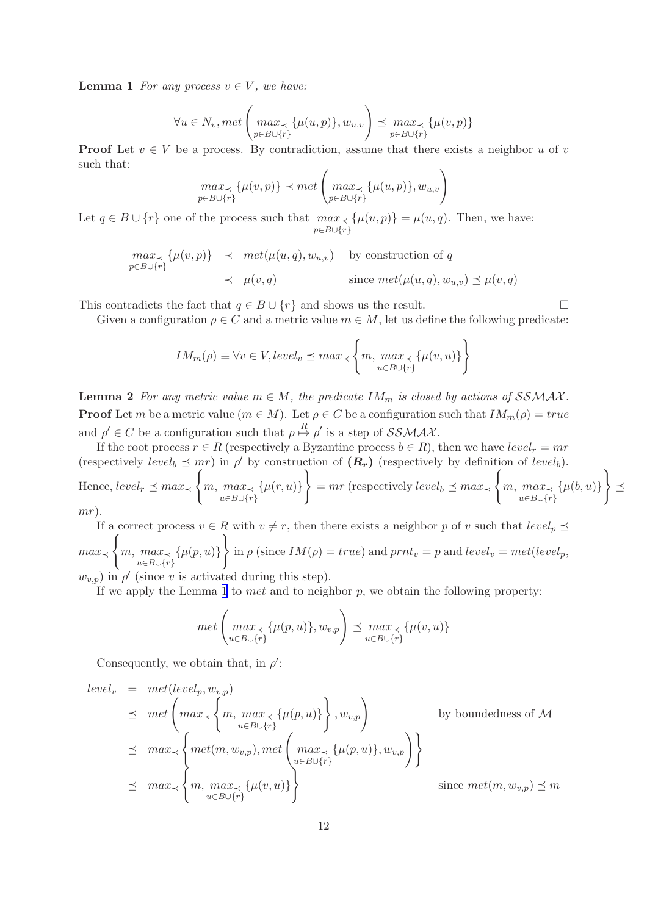<span id="page-12-0"></span>**Lemma 1** *For any process*  $v \in V$ *, we have:* 

$$
\forall u \in N_v, met\left(\max_{p \in B \cup \{r\}} \{\mu(u, p)\}, w_{u,v}\right) \preceq \max_{p \in B \cup \{r\}} \{\mu(v, p)\}\right)
$$

**Proof** Let  $v \in V$  be a process. By contradiction, assume that there exists a neighbor u of v such that:

$$
\max_{p \in B \cup \{r\}} \{\mu(v, p)\} \prec met \left(\max_{p \in B \cup \{r\}} \{\mu(u, p)\}, w_{u, v}\right)
$$

Let  $q \in B \cup \{r\}$  one of the process such that  $max_{\prec} {\{\mu(u,p)\}} = \mu(u,q)$ . Then, we have:  $p \in B \cup \{r\}$ 

$$
\begin{aligned}\n\max_{p \in B \cup \{r\}} \{\mu(v, p)\} &\prec \text{ met}(\mu(u, q), w_{u, v}) \quad \text{by construction of } q \\
&\prec \mu(v, q) \quad \text{since } met(\mu(u, q), w_{u, v}) \preceq \mu(v, q)\n\end{aligned}
$$

This contradicts the fact that  $q \in B \cup \{r\}$  and shows us the result.

Given a configuration  $\rho \in C$  and a metric value  $m \in M$ , let us define the following predicate:

$$
IM_m(\rho) \equiv \forall v \in V, level_v \le max_{u \in B \cup \{r\}} \left\{ m, \max_{u \in B \cup \{r\}} \left\{ \mu(v, u) \right\} \right\}
$$

**Lemma 2** *For any metric value*  $m \in M$ *, the predicate*  $IM_m$  *is closed by actions of*  $SSMAX$ *.* **Proof** Let m be a metric value  $(m \in M)$ . Let  $\rho \in C$  be a configuration such that  $IM_m(\rho) = true$ and  $\rho' \in C$  be a configuration such that  $\rho \stackrel{R}{\mapsto} \rho'$  is a step of  $\mathcal{SSMAX}$ .

If the root process  $r \in R$  (respectively a Byzantine process  $b \in R$ ), then we have  $level_r = mr$ (respectively level<sub>b</sub>  $\preceq mr$ ) in  $\rho'$  by construction of  $(R_r)$  (respectively by definition of level<sub>b</sub>). Hence,  $level_r \preceq max_{\prec}$  $\sqrt{ }$  $m, max<sub>≺</sub>$  $u∈B∪{r}$  $\{\mu(r, u)\}\$  $\mathcal{L}$  $= mr$  (respectively  $level_b \preceq max_{\prec}$  $\sqrt{ }$  $m, max<sub>≺</sub>$  $u∈B∪{r}$  $\{\mu(b, u)\}\$  $\mathcal{L}$  $\preceq$ mr).

If a correct process  $v \in R$  with  $v \neq r$ , then there exists a neighbor p of v such that  $level_p \preceq$ max<sup>≺</sup>  $\sqrt{ }$  $m, max<sub>≺</sub>$  $u∈B∪{r}$  $\{\mu(p, u)\}\$  $\mathcal{L}$ in  $\rho$  (since  $IM(\rho) = true$ ) and  $prnt_v = p$  and  $level_v = met(level_p,$  $(w_{v,p})$  in  $\rho'$  (since v is activated during this step).

If we apply the Lemma [1](#page-11-0) to met and to neighbor  $p$ , we obtain the following property:

$$
met\left(\max_{u\in B\cup\{r\}}\{\mu(p,u)\}, w_{v,p}\right) \preceq \max_{u\in B\cup\{r\}}\{\mu(v,u)\}\
$$

Consequently, we obtain that, in  $\rho'$ :

$$
\begin{aligned}\n\text{level}_{v} &= \text{met}(\text{level}_{p}, w_{v,p}) \\
&\leq \text{met}\left(\max_{u \in B \cup \{r\}} \{m, \max_{u \in B \cup \{r\}} \{u(p, u)\}\right), w_{v,p}\right) \\
&\leq \text{max} \times \left\{\text{met}(m, w_{v,p}), \text{met}\left(\max_{u \in B \cup \{r\}} \{\mu(p, u)\}, w_{v,p}\right)\right\} \\
&\leq \text{max} \times \left\{\text{max}, \max_{u \in B \cup \{r\}} \{\mu(v, u)\}\right\} \\
&\leq \text{max} \times \left\{\text{max}_{u \in B \cup \{r\}} \{m\} \right\}\n\end{aligned}
$$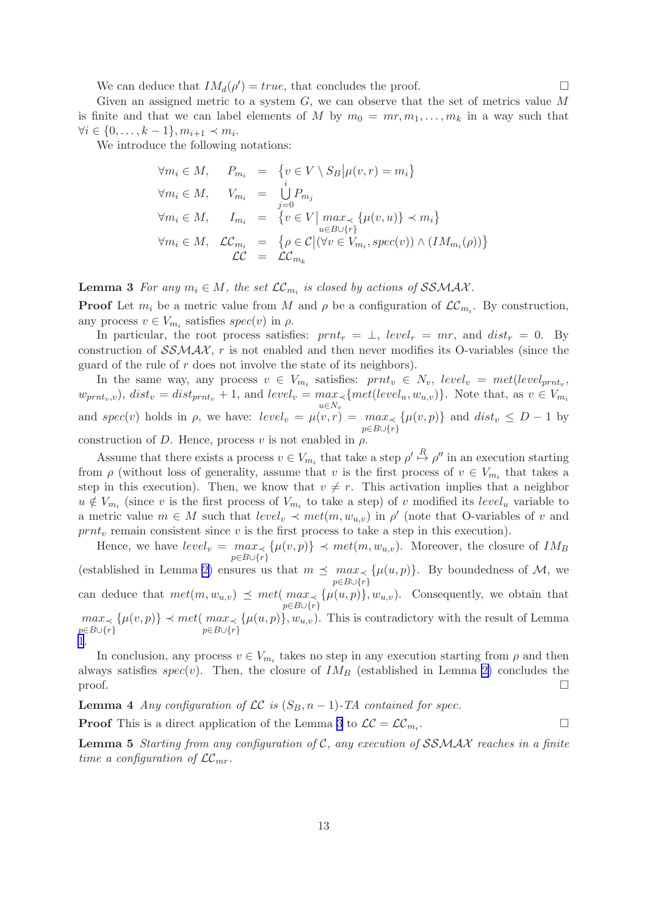We can deduce that  $IM_d(\rho') = true$ , that concludes the proof.

<span id="page-13-0"></span>Given an assigned metric to a system  $G$ , we can observe that the set of metrics value  $M$ is finite and that we can label elements of M by  $m_0 = mr, m_1, \ldots, m_k$  in a way such that  $\forall i \in \{0, \ldots, k-1\}, m_{i+1} \prec m_i.$ 

We introduce the following notations:

$$
\forall m_i \in M, \quad P_{m_i} = \{v \in V \setminus S_B | \mu(v, r) = m_i\}
$$
  

$$
\forall m_i \in M, \quad V_{m_i} = \bigcup_{j=0}^{i} P_{m_j}
$$
  

$$
\forall m_i \in M, \quad I_{m_i} = \{v \in V | \max_{u \in B \cup \{r\}} \{ \mu(v, u) \} \prec m_i \}
$$
  

$$
\forall m_i \in M, \quad \mathcal{LC}_{m_i} = \{ \rho \in \mathcal{C} | (\forall v \in V_{m_i}, spec(v)) \land (IM_{m_i}(\rho)) \}
$$
  

$$
\mathcal{LC} = \mathcal{LC}_{m_k}
$$

**Lemma 3** *For any*  $m_i \in M$ , the set  $\mathcal{LC}_{m_i}$  is closed by actions of SSMAX.

**Proof** Let  $m_i$  be a metric value from M and  $\rho$  be a configuration of  $\mathcal{LC}_{m_i}$ . By construction, any process  $v \in V_{m_i}$  satisfies  $spec(v)$  in  $\rho$ .

In particular, the root process satisfies:  $prnt_r = \perp$ ,  $level_r = mr$ , and  $dist_r = 0$ . By construction of  $\mathcal{SSMAX}$ , r is not enabled and then never modifies its O-variables (since the guard of the rule of r does not involve the state of its neighbors).

In the same way, any process  $v \in V_{m_i}$  satisfies:  $prnt_v \in N_v$ ,  $level_v = met(level_{prnt_v},$  $w_{prnt_v,v}$ ,  $dist_v = dist_{prnt_v} + 1$ , and  $level_v = max_{\prec} \{met(level_u, w_{u,v})\}$ . Note that, as  $v \in V_{m_i}$  $u{\in}N_v$ and spec(v) holds in  $\rho$ , we have:  $level_v = \mu(v,r) = max_{\prec}$  $p\in B\cup\{r\}$  $\{\mu(v, p)\}\$  and  $dist_v \leq D - 1$  by

construction of D. Hence, process v is not enabled in  $\rho$ .

Assume that there exists a process  $v \in V_{m_i}$  that take a step  $\rho' \stackrel{R}{\mapsto} \rho''$  in an execution starting from  $\rho$  (without loss of generality, assume that v is the first process of  $v \in V_{m_i}$  that takes a step in this execution). Then, we know that  $v \neq r$ . This activation implies that a neighbor  $u \notin V_{m_i}$  (since v is the first process of  $V_{m_i}$  to take a step) of v modified its  $level_u$  variable to a metric value  $m \in M$  such that  $level_v \prec met(m, w_{u,v})$  in  $\rho'$  (note that O-variables of v and  $prnt<sub>v</sub>$  remain consistent since v is the first process to take a step in this execution).

Hence, we have  $level_v = max_{\prec} \{\mu(v, p)\} \prec met(m, w_{u,v})$ . Moreover, the closure of  $IM_B$  $p \in B \cup \{r\}$ (established in Lemma [2\)](#page-12-0) ensures us that  $m \preceq max_{\prec} {\mu(u,p)}$ . By boundedness of M, we  $p \in B \cup \{r\}$ can deduce that  $met(m, w_{u,v}) \preceq met(max \prec {\mu(u,p)}, w_{u,v})$ . Consequently, we obtain that  $p \in B \cup \{r\}$ max<sup>≺</sup>  $p\in B\cup\{r\}$  $\{\mu(v, p)\}\prec met(max\prec$  $p\in B\cup\{r\}$  $\{\mu(u, p)\}\$ ,  $w_{u,v}$ ). This is contradictory with the result of Lemma [1](#page-11-0).

In conclusion, any process  $v \in V_{m_i}$  takes no step in any execution starting from  $\rho$  and then always satisfies  $spec(v)$ . Then, the closure of  $IM_B$  (established in Lemma [2\)](#page-12-0) concludes the  $\Box$ 

**Lemma 4** *Any configuration of*  $LC$  *is*  $(S_B, n-1)$ *-TA contained for spec.* 

**Proof** This is a direct application of the Lemma 3 to  $LC = LC_{m_i}$ . . В последните поставите на производите на применении в собстании в собстании в собстании в собстании в собста<br>В собстании в собстании в собстании в собстании в собстании в собстании в собстании в собстании в собстании в

Lemma 5 *Starting from any configuration of* C*, any execution of* SSMAX *reaches in a finite time a configuration of*  $LC_{mr}$ .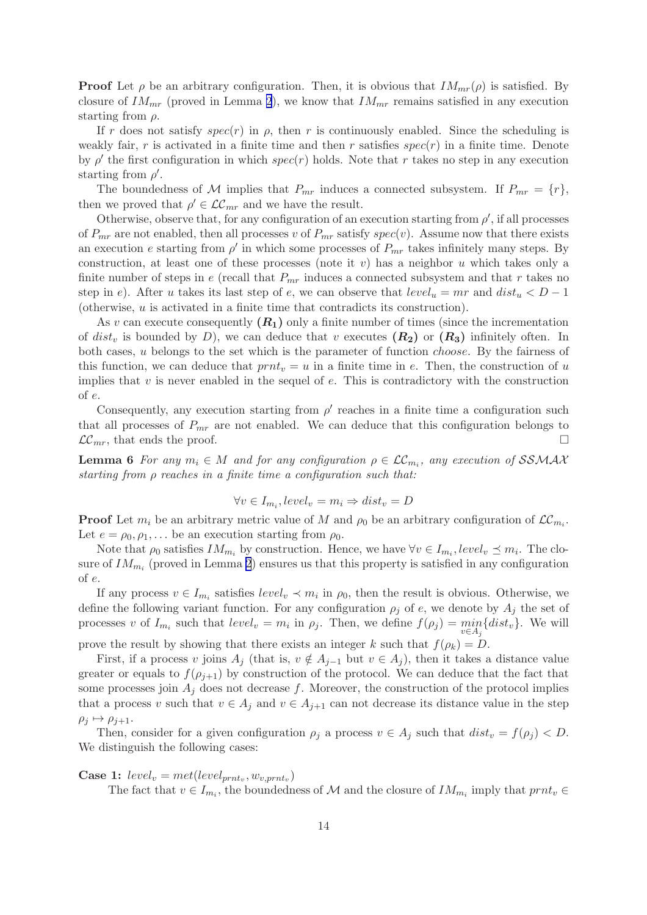<span id="page-14-0"></span>**Proof** Let  $\rho$  be an arbitrary configuration. Then, it is obvious that  $IM_{mr}(\rho)$  is satisfied. By closure of  $IM_{mr}$  (proved in Lemma [2](#page-12-0)), we know that  $IM_{mr}$  remains satisfied in any execution starting from  $\rho$ .

If r does not satisfy  $spec(r)$  in  $\rho$ , then r is continuously enabled. Since the scheduling is weakly fair, r is activated in a finite time and then r satisfies  $spec(r)$  in a finite time. Denote by  $\rho'$  the first configuration in which spec(r) holds. Note that r takes no step in any execution starting from  $\rho'$ .

The boundedness of M implies that  $P_{mr}$  induces a connected subsystem. If  $P_{mr} = \{r\},\$ then we proved that  $\rho' \in \mathcal{LC}_{mr}$  and we have the result.

Otherwise, observe that, for any configuration of an execution starting from  $\rho'$ , if all processes of  $P_{mr}$  are not enabled, then all processes v of  $P_{mr}$  satisfy  $spec(v)$ . Assume now that there exists an execution e starting from  $\rho'$  in which some processes of  $P_{mr}$  takes infinitely many steps. By construction, at least one of these processes (note it  $v$ ) has a neighbor  $u$  which takes only a finite number of steps in e (recall that  $P_{mr}$  induces a connected subsystem and that r takes no step in e). After u takes its last step of e, we can observe that  $level_u = mr$  and  $dist_u < D - 1$ (otherwise, u is activated in a finite time that contradicts its construction).

As v can execute consequently  $(R_1)$  only a finite number of times (since the incrementation of dist<sub>v</sub> is bounded by D), we can deduce that v executes  $(R_2)$  or  $(R_3)$  infinitely often. In both cases, u belongs to the set which is the parameter of function choose. By the fairness of this function, we can deduce that  $prnt_v = u$  in a finite time in e. Then, the construction of u implies that  $v$  is never enabled in the sequel of  $e$ . This is contradictory with the construction of e.

Consequently, any execution starting from  $\rho'$  reaches in a finite time a configuration such that all processes of  $P_{mr}$  are not enabled. We can deduce that this configuration belongs to  $\mathcal{LC}_{mr}$ , that ends the proof.

**Lemma 6** For any  $m_i \in M$  and for any configuration  $\rho \in \mathcal{LC}_{m_i}$ , any execution of SSMAX *starting from* ρ *reaches in a finite time a configuration such that:*

$$
\forall v \in I_{m_i}, level_v = m_i \Rightarrow dist_v = D
$$

**Proof** Let  $m_i$  be an arbitrary metric value of M and  $\rho_0$  be an arbitrary configuration of  $\mathcal{LC}_{m_i}$ . Let  $e = \rho_0, \rho_1, \ldots$  be an execution starting from  $\rho_0$ .

Note that  $\rho_0$  satisfies  $IM_{m_i}$  by construction. Hence, we have  $\forall v \in I_{m_i}$ , level,  $\preceq m_i$ . The closure of  $IM_{m_i}$  (proved in Lemma [2](#page-12-0)) ensures us that this property is satisfied in any configuration of e.

If any process  $v \in I_{m_i}$  satisfies  $level_v \prec m_i$  in  $\rho_0$ , then the result is obvious. Otherwise, we define the following variant function. For any configuration  $\rho_i$  of e, we denote by  $A_i$  the set of processes v of  $I_{m_i}$  such that  $level_v = m_i$  in  $\rho_j$ . Then, we define  $f(\rho_j) = \min_{v \in A_j} \{dist_v\}$ . We will

prove the result by showing that there exists an integer k such that  $f(\rho_k) = D$ .

First, if a process v joins  $A_i$  (that is,  $v \notin A_{i-1}$  but  $v \in A_i$ ), then it takes a distance value greater or equals to  $f(\rho_{i+1})$  by construction of the protocol. We can deduce that the fact that some processes join  $A_j$  does not decrease f. Moreover, the construction of the protocol implies that a process v such that  $v \in A_j$  and  $v \in A_{j+1}$  can not decrease its distance value in the step  $\rho_j \mapsto \rho_{j+1}.$ 

Then, consider for a given configuration  $\rho_i$  a process  $v \in A_i$  such that  $dist_v = f(\rho_i) < D$ . We distinguish the following cases:

### **Case 1:**  $level_v = met(level_{prnt_v}, w_{v, prnt_v})$

The fact that  $v \in I_{m_i}$ , the boundedness of M and the closure of  $IM_{m_i}$  imply that  $prnt_v \in$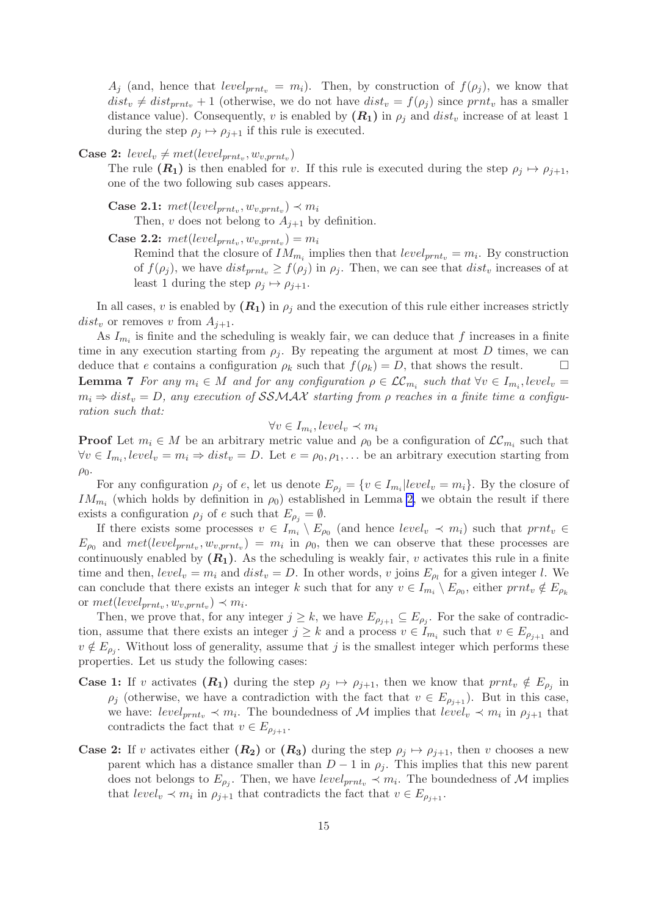<span id="page-15-0"></span> $A_i$  (and, hence that  $level_{prnt_v} = m_i$ ). Then, by construction of  $f(\rho_i)$ , we know that  $dist_v \neq dist_{prnt_v} + 1$  (otherwise, we do not have  $dist_v = f(\rho_i)$  since prnt<sub>v</sub> has a smaller distance value). Consequently, v is enabled by  $(R_1)$  in  $\rho_i$  and  $dist_v$  increase of at least 1 during the step  $\rho_j \mapsto \rho_{j+1}$  if this rule is executed.

**Case 2:**  $level_v \neq met(level_{prnt_v}, w_{v, prnt_v})$ 

The rule  $(R_1)$  is then enabled for v. If this rule is executed during the step  $\rho_j \mapsto \rho_{j+1}$ , one of the two following sub cases appears.

- **Case 2.1:**  $met(level_{prnt_v}, w_{v,prnt_v}) \prec m_i$ Then, v does not belong to  $A_{i+1}$  by definition.
- Case 2.2:  $met(level_{prnt_v}, w_{v,prnt_v}) = m_i$

Remind that the closure of  $IM_{m_i}$  implies then that  $level_{prnt_v} = m_i$ . By construction of  $f(\rho_i)$ , we have  $dist_{prnt_n} \geq f(\rho_i)$  in  $\rho_i$ . Then, we can see that  $dist_v$  increases of at least 1 during the step  $\rho_i \mapsto \rho_{i+1}$ .

In all cases, v is enabled by  $(R_1)$  in  $\rho_i$  and the execution of this rule either increases strictly  $dist_v$  or removes v from  $A_{i+1}$ .

As  $I_{m_i}$  is finite and the scheduling is weakly fair, we can deduce that f increases in a finite time in any execution starting from  $\rho_i$ . By repeating the argument at most D times, we can deduce that e contains a configuration  $\rho_k$  such that  $f(\rho_k) = D$ , that shows the result. **Lemma 7** For any  $m_i \in M$  and for any configuration  $\rho \in \mathcal{LC}_{m_i}$  such that  $\forall v \in I_{m_i}$ , level<sub>v</sub> =  $m_i \Rightarrow dist_v = D$ , any execution of SSMAX starting from  $\rho$  reaches in a finite time a configu*ration such that:*

$$
\forall v \in I_{m_i}, level_v \prec m_i
$$

**Proof** Let  $m_i \in M$  be an arbitrary metric value and  $\rho_0$  be a configuration of  $\mathcal{LC}_{m_i}$  such that  $\forall v \in I_{m_i}, level_v = m_i \Rightarrow dist_v = D.$  Let  $e = \rho_0, \rho_1, \dots$  be an arbitrary execution starting from  $\rho_0$ .

For any configuration  $\rho_j$  of e, let us denote  $E_{\rho_j} = \{v \in I_{m_i} | level_v = m_i\}$ . By the closure of  $IM_{m_i}$  (which holds by definition in  $\rho_0$ ) established in Lemma [2,](#page-12-0) we obtain the result if there exists a configuration  $\rho_i$  of e such that  $E_{\rho_i} = \emptyset$ .

If there exists some processes  $v \in I_{m_i} \setminus E_{\rho_0}$  (and hence  $level_v \prec m_i$ ) such that  $prnt_v \in$  $E_{\rho_0}$  and  $met(level_{prnt_v}, w_{v,prnt_v}) = m_i$  in  $\rho_0$ , then we can observe that these processes are continuously enabled by  $(R_1)$ . As the scheduling is weakly fair, v activates this rule in a finite time and then,  $level_v = m_i$  and  $dist_v = D$ . In other words, v joins  $E_{\rho_l}$  for a given integer l. We can conclude that there exists an integer k such that for any  $v \in I_{m_i} \setminus E_{\rho_0}$ , either  $prnt_v \notin E_{\rho_k}$ or  $met(level_{prnt_v}, w_{v,prnt_v}) \prec m_i$ .

Then, we prove that, for any integer  $j \geq k$ , we have  $E_{\rho_{j+1}} \subseteq E_{\rho_j}$ . For the sake of contradiction, assume that there exists an integer  $j \geq k$  and a process  $v \in I_{m_i}$  such that  $v \in E_{\rho_{j+1}}$  and  $v \notin E_{\rho_j}$ . Without loss of generality, assume that j is the smallest integer which performs these properties. Let us study the following cases:

- **Case 1:** If v activates  $(R_1)$  during the step  $\rho_j \mapsto \rho_{j+1}$ , then we know that  $prnt_v \notin E_{\rho_j}$  in  $\rho_i$  (otherwise, we have a contradiction with the fact that  $v \in E_{\rho_{i+1}}$ ). But in this case, we have:  $level_{prnt_v} \prec m_i$ . The boundedness of M implies that  $level_v \prec m_i$  in  $\rho_{j+1}$  that contradicts the fact that  $v \in E_{\rho_{i+1}}$ .
- **Case 2:** If v activates either  $(R_2)$  or  $(R_3)$  during the step  $\rho_j \mapsto \rho_{j+1}$ , then v chooses a new parent which has a distance smaller than  $D-1$  in  $\rho_j$ . This implies that this new parent does not belongs to  $E_{\rho_j}$ . Then, we have  $level_{prnt_v} \prec m_i$ . The boundedness of M implies that  $level_v \prec m_i$  in  $\rho_{j+1}$  that contradicts the fact that  $v \in E_{\rho_{j+1}}$ .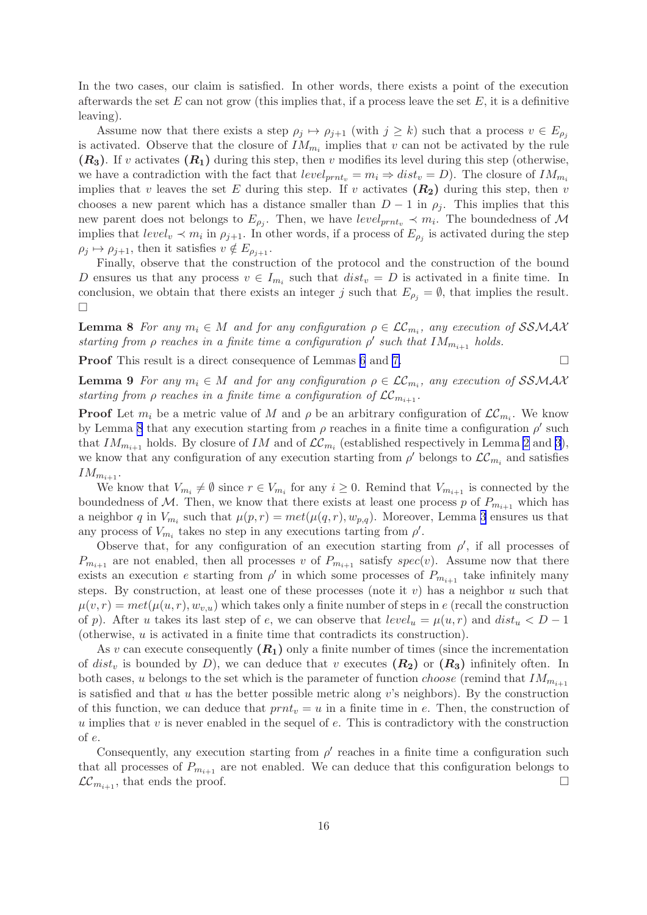<span id="page-16-0"></span>In the two cases, our claim is satisfied. In other words, there exists a point of the execution afterwards the set  $E$  can not grow (this implies that, if a process leave the set  $E$ , it is a definitive leaving).

Assume now that there exists a step  $\rho_j \mapsto \rho_{j+1}$  (with  $j \geq k$ ) such that a process  $v \in E_{\rho_j}$ is activated. Observe that the closure of  $IM_{m_i}$  implies that v can not be activated by the rule  $(R_3)$ . If v activates  $(R_1)$  during this step, then v modifies its level during this step (otherwise, we have a contradiction with the fact that  $level_{prnt_n} = m_i \Rightarrow dist_v = D)$ . The closure of  $IM_{m_i}$ implies that v leaves the set E during this step. If v activates  $(R_2)$  during this step, then v chooses a new parent which has a distance smaller than  $D-1$  in  $\rho_j$ . This implies that this new parent does not belongs to  $E_{\rho_j}$ . Then, we have  $level_{prnt_v} \prec m_i$ . The boundedness of M implies that  $level_v \prec m_i$  in  $\rho_{j+1}$ . In other words, if a process of  $E_{\rho_j}$  is activated during the step  $\rho_j \mapsto \rho_{j+1}$ , then it satisfies  $v \notin E_{\rho_{j+1}}$ .

Finally, observe that the construction of the protocol and the construction of the bound D ensures us that any process  $v \in I_{m_i}$  such that  $dist_v = D$  is activated in a finite time. In conclusion, we obtain that there exists an integer j such that  $E_{\rho_i} = \emptyset$ , that implies the result. П

**Lemma 8** *For any*  $m_i \in M$  *and for any configuration*  $\rho \in \mathcal{LC}_{m_i}$ , *any execution of* SSMAX *starting from*  $\rho$  *reaches in a finite time a configuration*  $\rho'$  *such that*  $IM_{m_{i+1}}$  *holds.* 

**Proof** This result is a direct consequence of Lemmas [6](#page-14-0) and [7.](#page-15-0)

**Lemma 9** For any  $m_i \in M$  and for any configuration  $\rho \in \mathcal{LC}_{m_i}$ , any execution of SSMAX *starting from*  $\rho$  *reaches in a finite time a configuration of*  $LC_{m_{i+1}}$ *.* 

**Proof** Let  $m_i$  be a metric value of M and  $\rho$  be an arbitrary configuration of  $\mathcal{LC}_{m_i}$ . We know by Lemma 8 that any execution starting from  $\rho$  reaches in a finite time a configuration  $\rho'$  such that  $IM_{m_{i+1}}$  holds. By closure of  $IM$  and of  $\mathcal{LC}_{m_i}$  (established respectively in Lemma [2](#page-12-0) and [3](#page-13-0)), we know that any configuration of any execution starting from  $\rho'$  belongs to  $\mathcal{LC}_{m_i}$  and satisfies  $IM_{m_{i+1}}$ .

We know that  $V_{m_i} \neq \emptyset$  since  $r \in V_{m_i}$  for any  $i \geq 0$ . Remind that  $V_{m_{i+1}}$  is connected by the boundedness of M. Then, we know that there exists at least one process p of  $P_{m_{i+1}}$  which has a neighbor q in  $V_{m_i}$  such that  $\mu(p,r) = met(\mu(q,r), w_{p,q})$ . Moreover, Lemma [3](#page-13-0) ensures us that any process of  $V_{m_i}$  takes no step in any executions tarting from  $\rho'$ .

Observe that, for any configuration of an execution starting from  $\rho'$ , if all processes of  $P_{m_{i+1}}$  are not enabled, then all processes v of  $P_{m_{i+1}}$  satisfy spec(v). Assume now that there exists an execution e starting from  $\rho'$  in which some processes of  $P_{m_{i+1}}$  take infinitely many steps. By construction, at least one of these processes (note it v) has a neighbor u such that  $\mu(v, r) = met(\mu(u, r), w_{v, u})$  which takes only a finite number of steps in e (recall the construction of p). After u takes its last step of e, we can observe that  $level_u = \mu(u, r)$  and  $dist_u < D - 1$ (otherwise, u is activated in a finite time that contradicts its construction).

As v can execute consequently  $(R_1)$  only a finite number of times (since the incrementation of dist<sub>v</sub> is bounded by D), we can deduce that v executes  $(R_2)$  or  $(R_3)$  infinitely often. In both cases, u belongs to the set which is the parameter of function *choose* (remind that  $IM_{m_{i+1}}$ is satisfied and that  $u$  has the better possible metric along  $v$ 's neighbors). By the construction of this function, we can deduce that  $prnt_v = u$  in a finite time in e. Then, the construction of u implies that  $v$  is never enabled in the sequel of  $e$ . This is contradictory with the construction of e.

Consequently, any execution starting from  $\rho'$  reaches in a finite time a configuration such that all processes of  $P_{m+1}$  are not enabled. We can deduce that this configuration belongs to  $\mathcal{LC}_{m_{i+1}}$ , that ends the proof.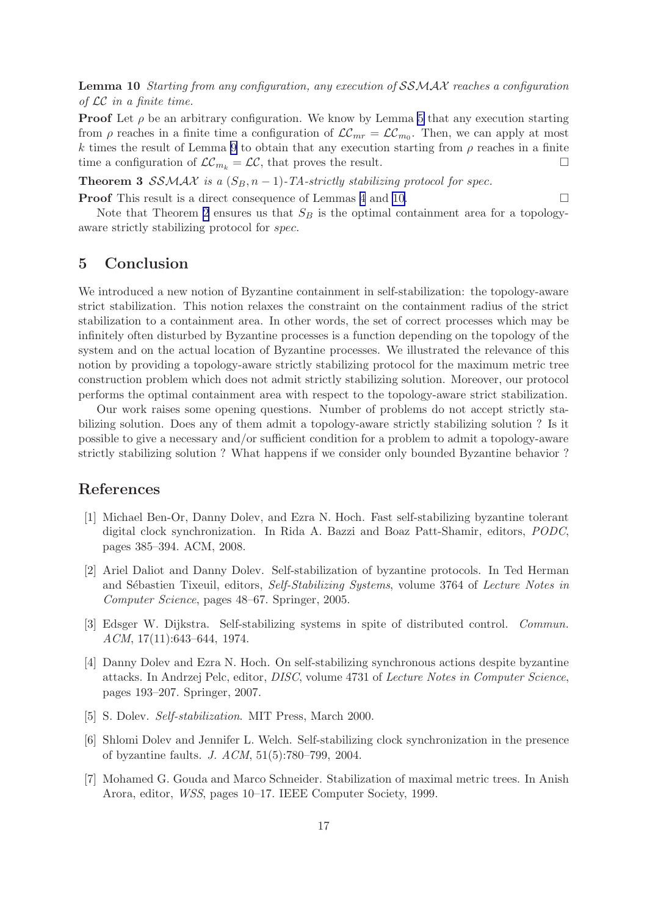<span id="page-17-0"></span>Lemma 10 *Starting from any configuration, any execution of* SSMAX *reaches a configuration of* LC *in a finite time.*

**Proof** Let  $\rho$  be an arbitrary configuration. We know by Lemma [5](#page-13-0) that any execution starting from  $\rho$  reaches in a finite time a configuration of  $\mathcal{LC}_{mr} = \mathcal{LC}_{m0}$ . Then, we can apply at most k times the result of Lemma [9](#page-16-0) to obtain that any execution starting from  $\rho$  reaches in a finite time a configuration of  $\mathcal{LC}_{m_k} = \mathcal{LC}$ , that proves the result.

**Theorem 3 SSMAX** is a  $(S_B, n-1)$ -TA-strictly stabilizing protocol for spec.

**Proof** This result is a direct consequence of Lemmas [4](#page-13-0) and [10](#page-16-0).

Note that Theorem [2](#page-8-0) ensures us that  $S_B$  is the optimal containment area for a topologyaware strictly stabilizing protocol for spec.

## 5 Conclusion

We introduced a new notion of Byzantine containment in self-stabilization: the topology-aware strict stabilization. This notion relaxes the constraint on the containment radius of the strict stabilization to a containment area. In other words, the set of correct processes which may be infinitely often disturbed by Byzantine processes is a function depending on the topology of the system and on the actual location of Byzantine processes. We illustrated the relevance of this notion by providing a topology-aware strictly stabilizing protocol for the maximum metric tree construction problem which does not admit strictly stabilizing solution. Moreover, our protocol performs the optimal containment area with respect to the topology-aware strict stabilization.

Our work raises some opening questions. Number of problems do not accept strictly stabilizing solution. Does any of them admit a topology-aware strictly stabilizing solution ? Is it possible to give a necessary and/or sufficient condition for a problem to admit a topology-aware strictly stabilizing solution ? What happens if we consider only bounded Byzantine behavior ?

## References

- [1] Michael Ben-Or, Danny Dolev, and Ezra N. Hoch. Fast self-stabilizing byzantine tolerant digital clock synchronization. In Rida A. Bazzi and Boaz Patt-Shamir, editors, *PODC*, pages 385–394. ACM, 2008.
- [2] Ariel Daliot and Danny Dolev. Self-stabilization of byzantine protocols. In Ted Herman and S´ebastien Tixeuil, editors, *Self-Stabilizing Systems*, volume 3764 of *Lecture Notes in Computer Science*, pages 48–67. Springer, 2005.
- [3] Edsger W. Dijkstra. Self-stabilizing systems in spite of distributed control. *Commun. ACM*, 17(11):643–644, 1974.
- [4] Danny Dolev and Ezra N. Hoch. On self-stabilizing synchronous actions despite byzantine attacks. In Andrzej Pelc, editor, *DISC*, volume 4731 of *Lecture Notes in Computer Science*, pages 193–207. Springer, 2007.
- [5] S. Dolev. *Self-stabilization*. MIT Press, March 2000.
- [6] Shlomi Dolev and Jennifer L. Welch. Self-stabilizing clock synchronization in the presence of byzantine faults. *J. ACM*, 51(5):780–799, 2004.
- [7] Mohamed G. Gouda and Marco Schneider. Stabilization of maximal metric trees. In Anish Arora, editor, *WSS*, pages 10–17. IEEE Computer Society, 1999.